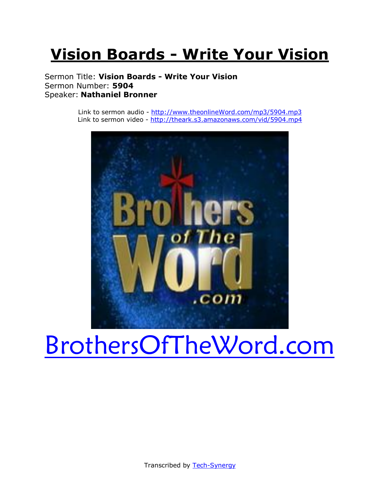# **Vision Boards - Write Your Vision**

Sermon Title: **Vision Boards - Write Your Vision** Sermon Number: **5904** Speaker: **Nathaniel Bronner**

> Link to sermon audio - [http://www.theonlineWord.com/mp3/5904.mp3](http://www.theonlineword.com/mp3/5897.mp3) Link to sermon video - [http://theark.s3.amazonaws.com/vid/5904.mp4](http://theark.s3.amazonaws.com/vid/5897.mp4)



# [BrothersOfTheWord.com](http://www.brothersoftheword.com/)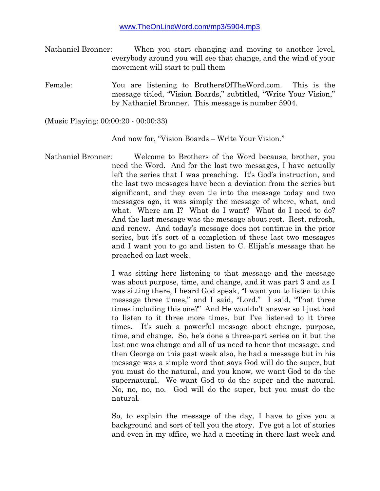- Nathaniel Bronner: When you start changing and moving to another level, everybody around you will see that change, and the wind of your movement will start to pull them
- Female: You are listening to BrothersOfTheWord.com. This is the message titled, "Vision Boards," subtitled, "Write Your Vision," by Nathaniel Bronner. This message is number 5904.

(Music Playing: 00:00:20 - 00:00:33)

And now for, "Vision Boards – Write Your Vision."

Nathaniel Bronner: Welcome to Brothers of the Word because, brother, you need the Word. And for the last two messages, I have actually left the series that I was preaching. It's God's instruction, and the last two messages have been a deviation from the series but significant, and they even tie into the message today and two messages ago, it was simply the message of where, what, and what. Where am I? What do I want? What do I need to do? And the last message was the message about rest. Rest, refresh, and renew. And today's message does not continue in the prior series, but it's sort of a completion of these last two messages and I want you to go and listen to C. Elijah's message that he preached on last week.

> I was sitting here listening to that message and the message was about purpose, time, and change, and it was part 3 and as I was sitting there, I heard God speak, "I want you to listen to this message three times," and I said, "Lord." I said, "That three times including this one?" And He wouldn't answer so I just had to listen to it three more times, but I've listened to it three times. It's such a powerful message about change, purpose, time, and change. So, he's done a three-part series on it but the last one was change and all of us need to hear that message, and then George on this past week also, he had a message but in his message was a simple word that says God will do the super, but you must do the natural, and you know, we want God to do the supernatural. We want God to do the super and the natural. No, no, no, no. God will do the super, but you must do the natural.

> So, to explain the message of the day, I have to give you a background and sort of tell you the story. I've got a lot of stories and even in my office, we had a meeting in there last week and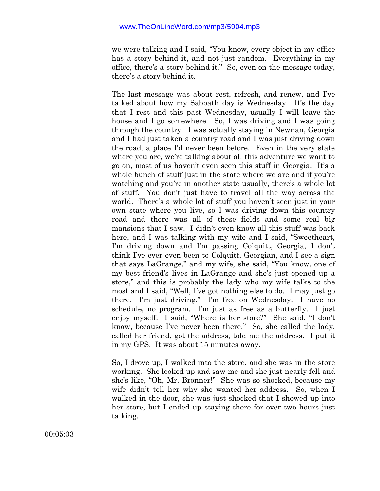we were talking and I said, "You know, every object in my office has a story behind it, and not just random. Everything in my office, there's a story behind it." So, even on the message today, there's a story behind it.

The last message was about rest, refresh, and renew, and I've talked about how my Sabbath day is Wednesday. It's the day that I rest and this past Wednesday, usually I will leave the house and I go somewhere. So, I was driving and I was going through the country. I was actually staying in Newnan, Georgia and I had just taken a country road and I was just driving down the road, a place I'd never been before. Even in the very state where you are, we're talking about all this adventure we want to go on, most of us haven't even seen this stuff in Georgia. It's a whole bunch of stuff just in the state where we are and if you're watching and you're in another state usually, there's a whole lot of stuff. You don't just have to travel all the way across the world. There's a whole lot of stuff you haven't seen just in your own state where you live, so I was driving down this country road and there was all of these fields and some real big mansions that I saw. I didn't even know all this stuff was back here, and I was talking with my wife and I said, "Sweetheart, I'm driving down and I'm passing Colquitt, Georgia, I don't think I've ever even been to Colquitt, Georgian, and I see a sign that says LaGrange," and my wife, she said, "You know, one of my best friend's lives in LaGrange and she's just opened up a store," and this is probably the lady who my wife talks to the most and I said, "Well, I've got nothing else to do. I may just go there. I'm just driving." I'm free on Wednesday. I have no schedule, no program. I'm just as free as a butterfly. I just enjoy myself. I said, "Where is her store?" She said, "I don't know, because I've never been there." So, she called the lady, called her friend, got the address, told me the address. I put it in my GPS. It was about 15 minutes away.

So, I drove up, I walked into the store, and she was in the store working. She looked up and saw me and she just nearly fell and she's like, "Oh, Mr. Bronner!" She was so shocked, because my wife didn't tell her why she wanted her address. So, when I walked in the door, she was just shocked that I showed up into her store, but I ended up staying there for over two hours just talking.

00:05:03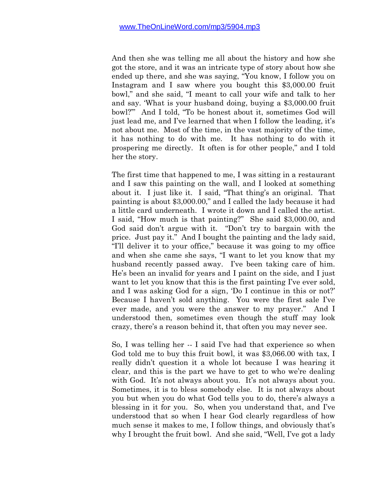And then she was telling me all about the history and how she got the store, and it was an intricate type of story about how she ended up there, and she was saying, "You know, I follow you on Instagram and I saw where you bought this \$3,000.00 fruit bowl," and she said, "I meant to call your wife and talk to her and say. 'What is your husband doing, buying a \$3,000.00 fruit bowl?'" And I told, "To be honest about it, sometimes God will just lead me, and I've learned that when I follow the leading, it's not about me. Most of the time, in the vast majority of the time, it has nothing to do with me. It has nothing to do with it prospering me directly. It often is for other people," and I told her the story.

The first time that happened to me, I was sitting in a restaurant and I saw this painting on the wall, and I looked at something about it. I just like it. I said, "That thing's an original. That painting is about \$3,000.00," and I called the lady because it had a little card underneath. I wrote it down and I called the artist. I said, "How much is that painting?" She said \$3,000.00, and God said don't argue with it. "Don't try to bargain with the price. Just pay it." And I bought the painting and the lady said, "I'll deliver it to your office," because it was going to my office and when she came she says, "I want to let you know that my husband recently passed away. I've been taking care of him. He's been an invalid for years and I paint on the side, and I just want to let you know that this is the first painting I've ever sold, and I was asking God for a sign, 'Do I continue in this or not?' Because I haven't sold anything. You were the first sale I've ever made, and you were the answer to my prayer." And I understood then, sometimes even though the stuff may look crazy, there's a reason behind it, that often you may never see.

So, I was telling her -- I said I've had that experience so when God told me to buy this fruit bowl, it was \$3,066.00 with tax, I really didn't question it a whole lot because I was hearing it clear, and this is the part we have to get to who we're dealing with God. It's not always about you. It's not always about you. Sometimes, it is to bless somebody else. It is not always about you but when you do what God tells you to do, there's always a blessing in it for you. So, when you understand that, and I've understood that so when I hear God clearly regardless of how much sense it makes to me, I follow things, and obviously that's why I brought the fruit bowl. And she said, "Well, I've got a lady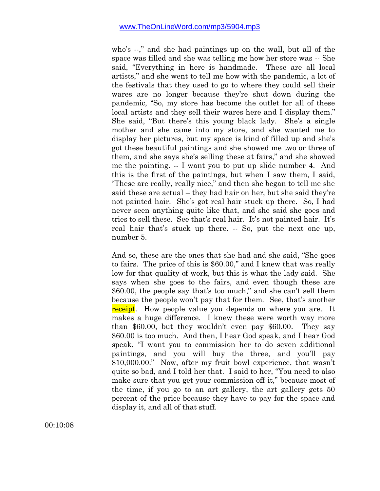who's --," and she had paintings up on the wall, but all of the space was filled and she was telling me how her store was -- She said, "Everything in here is handmade. These are all local artists," and she went to tell me how with the pandemic, a lot of the festivals that they used to go to where they could sell their wares are no longer because they're shut down during the pandemic, "So, my store has become the outlet for all of these local artists and they sell their wares here and I display them." She said, "But there's this young black lady. She's a single mother and she came into my store, and she wanted me to display her pictures, but my space is kind of filled up and she's got these beautiful paintings and she showed me two or three of them, and she says she's selling these at fairs," and she showed me the painting. -- I want you to put up slide number 4. And this is the first of the paintings, but when I saw them, I said, "These are really, really nice," and then she began to tell me she said these are actual – they had hair on her, but she said they're not painted hair. She's got real hair stuck up there. So, I had never seen anything quite like that, and she said she goes and tries to sell these. See that's real hair. It's not painted hair. It's real hair that's stuck up there. -- So, put the next one up, number 5.

And so, these are the ones that she had and she said, "She goes to fairs. The price of this is \$60.00," and I knew that was really low for that quality of work, but this is what the lady said. She says when she goes to the fairs, and even though these are \$60.00, the people say that's too much," and she can't sell them because the people won't pay that for them. See, that's another receipt. How people value you depends on where you are. It makes a huge difference. I knew these were worth way more than \$60.00, but they wouldn't even pay \$60.00. They say \$60.00 is too much. And then, I hear God speak, and I hear God speak, "I want you to commission her to do seven additional paintings, and you will buy the three, and you'll pay \$10,000.00." Now, after my fruit bowl experience, that wasn't quite so bad, and I told her that. I said to her, "You need to also make sure that you get your commission off it," because most of the time, if you go to an art gallery, the art gallery gets 50 percent of the price because they have to pay for the space and display it, and all of that stuff.

00:10:08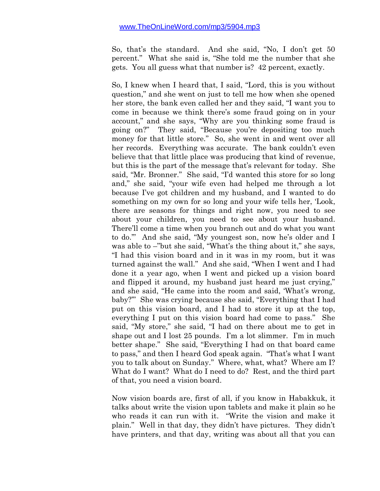So, that's the standard. And she said, "No, I don't get 50 percent." What she said is, "She told me the number that she gets. You all guess what that number is? 42 percent, exactly.

So, I knew when I heard that, I said, "Lord, this is you without question," and she went on just to tell me how when she opened her store, the bank even called her and they said, "I want you to come in because we think there's some fraud going on in your account," and she says, "Why are you thinking some fraud is going on?" They said, "Because you're depositing too much money for that little store." So, she went in and went over all her records. Everything was accurate. The bank couldn't even believe that that little place was producing that kind of revenue, but this is the part of the message that's relevant for today. She said, "Mr. Bronner." She said, "I'd wanted this store for so long and," she said, "your wife even had helped me through a lot because I've got children and my husband, and I wanted to do something on my own for so long and your wife tells her, 'Look, there are seasons for things and right now, you need to see about your children, you need to see about your husband. There'll come a time when you branch out and do what you want to do.'" And she said, "My youngest son, now he's older and I was able to –"but she said, "What's the thing about it," she says, "I had this vision board and in it was in my room, but it was turned against the wall." And she said, "When I went and I had done it a year ago, when I went and picked up a vision board and flipped it around, my husband just heard me just crying," and she said, "He came into the room and said, 'What's wrong, baby?'" She was crying because she said, "Everything that I had put on this vision board, and I had to store it up at the top, everything I put on this vision board had come to pass." She said, "My store," she said, "I had on there about me to get in shape out and I lost 25 pounds. I'm a lot slimmer. I'm in much better shape." She said, "Everything I had on that board came to pass," and then I heard God speak again. "That's what I want you to talk about on Sunday." Where, what, what? Where am I? What do I want? What do I need to do? Rest, and the third part of that, you need a vision board.

Now vision boards are, first of all, if you know in Habakkuk, it talks about write the vision upon tablets and make it plain so he who reads it can run with it. "Write the vision and make it plain." Well in that day, they didn't have pictures. They didn't have printers, and that day, writing was about all that you can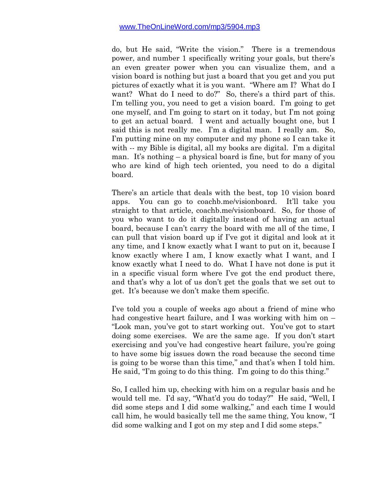do, but He said, "Write the vision." There is a tremendous power, and number 1 specifically writing your goals, but there's an even greater power when you can visualize them, and a vision board is nothing but just a board that you get and you put pictures of exactly what it is you want. "Where am I? What do I want? What do I need to do?" So, there's a third part of this. I'm telling you, you need to get a vision board. I'm going to get one myself, and I'm going to start on it today, but I'm not going to get an actual board. I went and actually bought one, but I said this is not really me. I'm a digital man. I really am. So, I'm putting mine on my computer and my phone so I can take it with -- my Bible is digital, all my books are digital. I'm a digital man. It's nothing – a physical board is fine, but for many of you who are kind of high tech oriented, you need to do a digital board.

There's an article that deals with the best, top 10 vision board apps. You can go to coachb.me/visionboard. It'll take you straight to that article, coachb.me/visionboard. So, for those of you who want to do it digitally instead of having an actual board, because I can't carry the board with me all of the time, I can pull that vision board up if I've got it digital and look at it any time, and I know exactly what I want to put on it, because I know exactly where I am, I know exactly what I want, and I know exactly what I need to do. What I have not done is put it in a specific visual form where I've got the end product there, and that's why a lot of us don't get the goals that we set out to get. It's because we don't make them specific.

I've told you a couple of weeks ago about a friend of mine who had congestive heart failure, and I was working with him on – "Look man, you've got to start working out. You've got to start doing some exercises. We are the same age. If you don't start exercising and you've had congestive heart failure, you're going to have some big issues down the road because the second time is going to be worse than this time," and that's when I told him. He said, "I'm going to do this thing. I'm going to do this thing."

So, I called him up, checking with him on a regular basis and he would tell me. I'd say, "What'd you do today?" He said, "Well, I did some steps and I did some walking," and each time I would call him, he would basically tell me the same thing, You know, "I did some walking and I got on my step and I did some steps."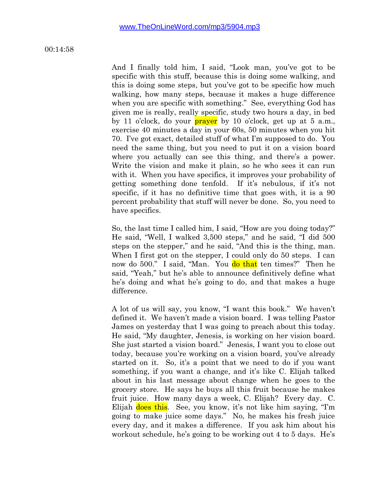00:14:58

And I finally told him, I said, "Look man, you've got to be specific with this stuff, because this is doing some walking, and this is doing some steps, but you've got to be specific how much walking, how many steps, because it makes a huge difference when you are specific with something." See, everything God has given me is really, really specific, study two hours a day, in bed by 11 o'clock, do your **prayer** by 10 o'clock, get up at 5 a.m., exercise 40 minutes a day in your 60s, 50 minutes when you hit 70. I've got exact, detailed stuff of what I'm supposed to do. You need the same thing, but you need to put it on a vision board where you actually can see this thing, and there's a power. Write the vision and make it plain, so he who sees it can run with it. When you have specifics, it improves your probability of getting something done tenfold. If it's nebulous, if it's not specific, if it has no definitive time that goes with, it is a 90 percent probability that stuff will never be done. So, you need to have specifics.

So, the last time I called him, I said, "How are you doing today?" He said, "Well, I walked 3,500 steps," and he said, "I did 500 steps on the stepper," and he said, "And this is the thing, man. When I first got on the stepper, I could only do 50 steps. I can now do 500." I said, "Man. You do that ten times?" Then he said, "Yeah," but he's able to announce definitively define what he's doing and what he's going to do, and that makes a huge difference.

A lot of us will say, you know, "I want this book." We haven't defined it. We haven't made a vision board. I was telling Pastor James on yesterday that I was going to preach about this today. He said, "My daughter, Jenesis, is working on her vision board. She just started a vision board." Jenesis, I want you to close out today, because you're working on a vision board, you've already started on it. So, it's a point that we need to do if you want something, if you want a change, and it's like C. Elijah talked about in his last message about change when he goes to the grocery store. He says he buys all this fruit because he makes fruit juice. How many days a week, C. Elijah? Every day. C. Elijah does this. See, you know, it's not like him saying, "I'm going to make juice some days." No, he makes his fresh juice every day, and it makes a difference. If you ask him about his workout schedule, he's going to be working out 4 to 5 days. He's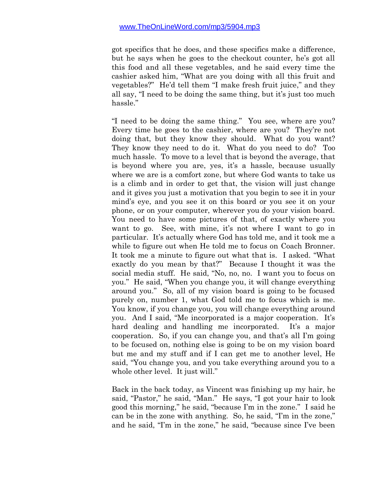got specifics that he does, and these specifics make a difference, but he says when he goes to the checkout counter, he's got all this food and all these vegetables, and he said every time the cashier asked him, "What are you doing with all this fruit and vegetables?" He'd tell them "I make fresh fruit juice," and they all say, "I need to be doing the same thing, but it's just too much hassle."

"I need to be doing the same thing." You see, where are you? Every time he goes to the cashier, where are you? They're not doing that, but they know they should. What do you want? They know they need to do it. What do you need to do? Too much hassle. To move to a level that is beyond the average, that is beyond where you are, yes, it's a hassle, because usually where we are is a comfort zone, but where God wants to take us is a climb and in order to get that, the vision will just change and it gives you just a motivation that you begin to see it in your mind's eye, and you see it on this board or you see it on your phone, or on your computer, wherever you do your vision board. You need to have some pictures of that, of exactly where you want to go. See, with mine, it's not where I want to go in particular. It's actually where God has told me, and it took me a while to figure out when He told me to focus on Coach Bronner. It took me a minute to figure out what that is. I asked. "What exactly do you mean by that?" Because I thought it was the social media stuff. He said, "No, no, no. I want you to focus on you." He said, "When you change you, it will change everything around you." So, all of my vision board is going to be focused purely on, number 1, what God told me to focus which is me. You know, if you change you, you will change everything around you. And I said, "Me incorporated is a major cooperation. It's hard dealing and handling me incorporated. It's a major cooperation. So, if you can change you, and that's all I'm going to be focused on, nothing else is going to be on my vision board but me and my stuff and if I can get me to another level, He said, "You change you, and you take everything around you to a whole other level. It just will."

Back in the back today, as Vincent was finishing up my hair, he said, "Pastor," he said, "Man." He says, "I got your hair to look good this morning," he said, "because I'm in the zone." I said he can be in the zone with anything. So, he said, "I'm in the zone," and he said, "I'm in the zone," he said, "because since I've been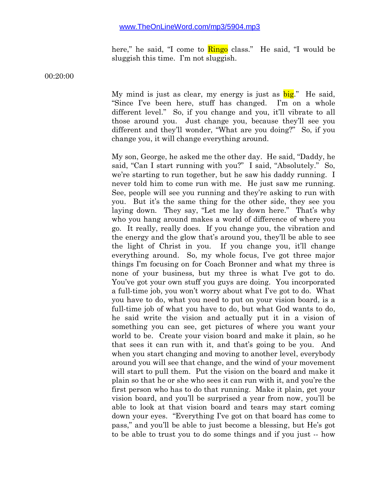here," he said, "I come to **Ringo** class." He said, "I would be sluggish this time. I'm not sluggish.

00:20:00

My mind is just as clear, my energy is just as  $big$ ." He said, "Since I've been here, stuff has changed. I'm on a whole different level." So, if you change and you, it'll vibrate to all those around you. Just change you, because they'll see you different and they'll wonder, "What are you doing?" So, if you change you, it will change everything around.

My son, George, he asked me the other day. He said, "Daddy, he said, "Can I start running with you?" I said, "Absolutely." So, we're starting to run together, but he saw his daddy running. I never told him to come run with me. He just saw me running. See, people will see you running and they're asking to run with you. But it's the same thing for the other side, they see you laying down. They say, "Let me lay down here." That's why who you hang around makes a world of difference of where you go. It really, really does. If you change you, the vibration and the energy and the glow that's around you, they'll be able to see the light of Christ in you. If you change you, it'll change everything around. So, my whole focus, I've got three major things I'm focusing on for Coach Bronner and what my three is none of your business, but my three is what I've got to do. You've got your own stuff you guys are doing. You incorporated a full-time job, you won't worry about what I've got to do. What you have to do, what you need to put on your vision board, is a full-time job of what you have to do, but what God wants to do, he said write the vision and actually put it in a vision of something you can see, get pictures of where you want your world to be. Create your vision board and make it plain, so he that sees it can run with it, and that's going to be you. And when you start changing and moving to another level, everybody around you will see that change, and the wind of your movement will start to pull them. Put the vision on the board and make it plain so that he or she who sees it can run with it, and you're the first person who has to do that running. Make it plain, get your vision board, and you'll be surprised a year from now, you'll be able to look at that vision board and tears may start coming down your eyes. "Everything I've got on that board has come to pass," and you'll be able to just become a blessing, but He's got to be able to trust you to do some things and if you just -- how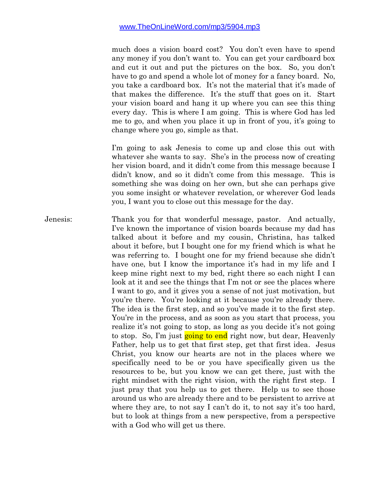much does a vision board cost? You don't even have to spend any money if you don't want to. You can get your cardboard box and cut it out and put the pictures on the box. So, you don't have to go and spend a whole lot of money for a fancy board. No, you take a cardboard box. It's not the material that it's made of that makes the difference. It's the stuff that goes on it. Start your vision board and hang it up where you can see this thing every day. This is where I am going. This is where God has led me to go, and when you place it up in front of you, it's going to change where you go, simple as that.

I'm going to ask Jenesis to come up and close this out with whatever she wants to say. She's in the process now of creating her vision board, and it didn't come from this message because I didn't know, and so it didn't come from this message. This is something she was doing on her own, but she can perhaps give you some insight or whatever revelation, or wherever God leads you, I want you to close out this message for the day.

Jenesis: Thank you for that wonderful message, pastor. And actually, I've known the importance of vision boards because my dad has talked about it before and my cousin, Christina, has talked about it before, but I bought one for my friend which is what he was referring to. I bought one for my friend because she didn't have one, but I know the importance it's had in my life and I keep mine right next to my bed, right there so each night I can look at it and see the things that I'm not or see the places where I want to go, and it gives you a sense of not just motivation, but you're there. You're looking at it because you're already there. The idea is the first step, and so you've made it to the first step. You're in the process, and as soon as you start that process, you realize it's not going to stop, as long as you decide it's not going to stop. So, I'm just going to end right now, but dear, Heavenly Father, help us to get that first step, get that first idea. Jesus Christ, you know our hearts are not in the places where we specifically need to be or you have specifically given us the resources to be, but you know we can get there, just with the right mindset with the right vision, with the right first step. I just pray that you help us to get there. Help us to see those around us who are already there and to be persistent to arrive at where they are, to not say I can't do it, to not say it's too hard, but to look at things from a new perspective, from a perspective with a God who will get us there.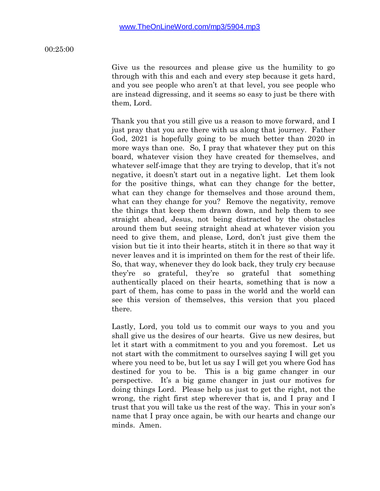00:25:00

Give us the resources and please give us the humility to go through with this and each and every step because it gets hard, and you see people who aren't at that level, you see people who are instead digressing, and it seems so easy to just be there with them, Lord.

Thank you that you still give us a reason to move forward, and I just pray that you are there with us along that journey. Father God, 2021 is hopefully going to be much better than 2020 in more ways than one. So, I pray that whatever they put on this board, whatever vision they have created for themselves, and whatever self-image that they are trying to develop, that it's not negative, it doesn't start out in a negative light. Let them look for the positive things, what can they change for the better, what can they change for themselves and those around them, what can they change for you? Remove the negativity, remove the things that keep them drawn down, and help them to see straight ahead, Jesus, not being distracted by the obstacles around them but seeing straight ahead at whatever vision you need to give them, and please, Lord, don't just give them the vision but tie it into their hearts, stitch it in there so that way it never leaves and it is imprinted on them for the rest of their life. So, that way, whenever they do look back, they truly cry because they're so grateful, they're so grateful that something authentically placed on their hearts, something that is now a part of them, has come to pass in the world and the world can see this version of themselves, this version that you placed there.

Lastly, Lord, you told us to commit our ways to you and you shall give us the desires of our hearts. Give us new desires, but let it start with a commitment to you and you foremost. Let us not start with the commitment to ourselves saying I will get you where you need to be, but let us say I will get you where God has destined for you to be. This is a big game changer in our perspective. It's a big game changer in just our motives for doing things Lord. Please help us just to get the right, not the wrong, the right first step wherever that is, and I pray and I trust that you will take us the rest of the way. This in your son's name that I pray once again, be with our hearts and change our minds. Amen.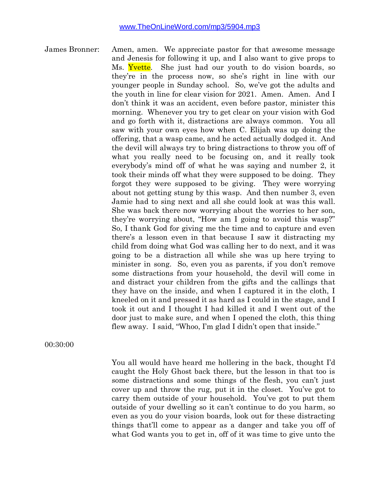James Bronner: Amen, amen. We appreciate pastor for that awesome message and Jenesis for following it up, and I also want to give props to Ms. Yvette. She just had our youth to do vision boards, so they're in the process now, so she's right in line with our younger people in Sunday school. So, we've got the adults and the youth in line for clear vision for 2021. Amen. Amen. And I don't think it was an accident, even before pastor, minister this morning. Whenever you try to get clear on your vision with God and go forth with it, distractions are always common. You all saw with your own eyes how when C. Elijah was up doing the offering, that a wasp came, and he acted actually dodged it. And the devil will always try to bring distractions to throw you off of what you really need to be focusing on, and it really took everybody's mind off of what he was saying and number 2, it took their minds off what they were supposed to be doing. They forgot they were supposed to be giving. They were worrying about not getting stung by this wasp. And then number 3, even Jamie had to sing next and all she could look at was this wall. She was back there now worrying about the worries to her son, they're worrying about, "How am I going to avoid this wasp?" So, I thank God for giving me the time and to capture and even there's a lesson even in that because I saw it distracting my child from doing what God was calling her to do next, and it was going to be a distraction all while she was up here trying to minister in song. So, even you as parents, if you don't remove some distractions from your household, the devil will come in and distract your children from the gifts and the callings that they have on the inside, and when I captured it in the cloth, I kneeled on it and pressed it as hard as I could in the stage, and I took it out and I thought I had killed it and I went out of the door just to make sure, and when I opened the cloth, this thing flew away. I said, "Whoo, I'm glad I didn't open that inside."

00:30:00

You all would have heard me hollering in the back, thought I'd caught the Holy Ghost back there, but the lesson in that too is some distractions and some things of the flesh, you can't just cover up and throw the rug, put it in the closet. You've got to carry them outside of your household. You've got to put them outside of your dwelling so it can't continue to do you harm, so even as you do your vision boards, look out for these distracting things that'll come to appear as a danger and take you off of what God wants you to get in, off of it was time to give unto the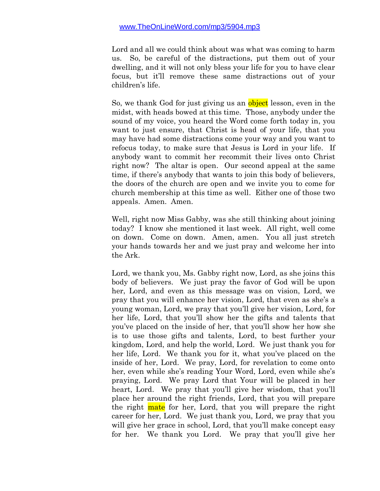Lord and all we could think about was what was coming to harm us. So, be careful of the distractions, put them out of your dwelling, and it will not only bless your life for you to have clear focus, but it'll remove these same distractions out of your children's life.

So, we thank God for just giving us an object lesson, even in the midst, with heads bowed at this time. Those, anybody under the sound of my voice, you heard the Word come forth today in, you want to just ensure, that Christ is head of your life, that you may have had some distractions come your way and you want to refocus today, to make sure that Jesus is Lord in your life. If anybody want to commit her recommit their lives onto Christ right now? The altar is open. Our second appeal at the same time, if there's anybody that wants to join this body of believers, the doors of the church are open and we invite you to come for church membership at this time as well. Either one of those two appeals. Amen. Amen.

Well, right now Miss Gabby, was she still thinking about joining today? I know she mentioned it last week. All right, well come on down. Come on down. Amen, amen. You all just stretch your hands towards her and we just pray and welcome her into the Ark.

Lord, we thank you, Ms. Gabby right now, Lord, as she joins this body of believers. We just pray the favor of God will be upon her, Lord, and even as this message was on vision, Lord, we pray that you will enhance her vision, Lord, that even as she's a young woman, Lord, we pray that you'll give her vision, Lord, for her life, Lord, that you'll show her the gifts and talents that you've placed on the inside of her, that you'll show her how she is to use those gifts and talents, Lord, to best further your kingdom, Lord, and help the world, Lord. We just thank you for her life, Lord. We thank you for it, what you've placed on the inside of her, Lord. We pray, Lord, for revelation to come onto her, even while she's reading Your Word, Lord, even while she's praying, Lord. We pray Lord that Your will be placed in her heart, Lord. We pray that you'll give her wisdom, that you'll place her around the right friends, Lord, that you will prepare the right mate for her, Lord, that you will prepare the right career for her, Lord. We just thank you, Lord, we pray that you will give her grace in school, Lord, that you'll make concept easy for her. We thank you Lord. We pray that you'll give her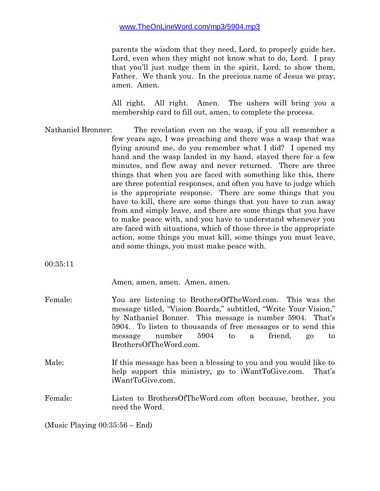parents the wisdom that they need, Lord, to properly guide her, Lord, even when they might not know what to do, Lord. I pray that you'll just nudge them in the spirit, Lord, to show them, Father. We thank you. In the precious name of Jesus we pray, amen. Amen.

All right. All right. Amen. The ushers will bring you a membership card to fill out, amen, to complete the process.

Nathaniel Bronner: The revelation even on the wasp, if you all remember a few years ago, I was preaching and there was a wasp that was flying around me, do you remember what I did? I opened my hand and the wasp landed in my hand, stayed there for a few minutes, and flew away and never returned. There are three things that when you are faced with something like this, there are three potential responses, and often you have to judge which is the appropriate response. There are some things that you have to kill, there are some things that you have to run away from and simply leave, and there are some things that you have to make peace with, and you have to understand whenever you are faced with situations, which of those three is the appropriate action, some things you must kill, some things you must leave, and some things, you must make peace with.

00:35:11

Amen, amen, amen. Amen, amen.

- Female: You are listening to BrothersOfTheWord.com. This was the message titled, "Vision Boards," subtitled, "Write Your Vision," by Nathaniel Bonner. This message is number 5904. That's 5904. To listen to thousands of free messages or to send this message number 5904 to a friend, go to BrothersOfTheWord.com.
- Male: If this message has been a blessing to you and you would like to help support this ministry, go to iWantToGive.com. That's iWantToGive.com.

# Female: Listen to BrothersOfTheWord.com often because, brother, you need the Word.

(Music Playing 00:35:56 – End)